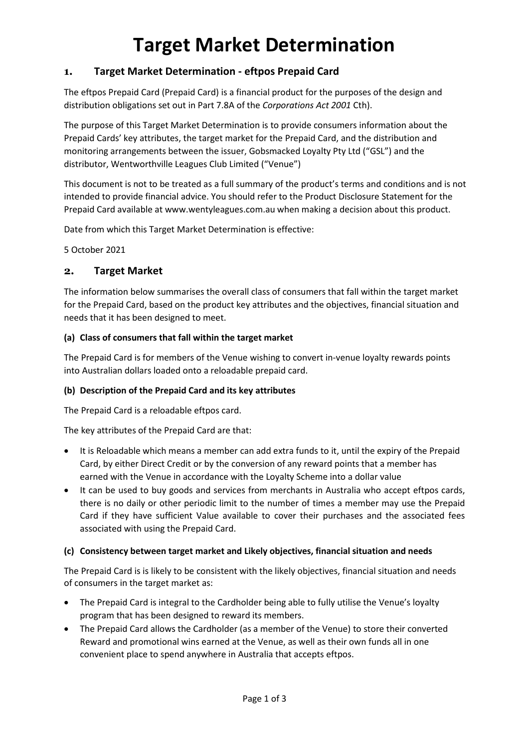# **Target Market Determination**

## **1. Target Market Determination - eftpos Prepaid Card**

The eftpos Prepaid Card (Prepaid Card) is a financial product for the purposes of the design and distribution obligations set out in Part 7.8A of the *Corporations Act 2001* Cth).

The purpose of this Target Market Determination is to provide consumers information about the Prepaid Cards' key attributes, the target market for the Prepaid Card, and the distribution and monitoring arrangements between the issuer, Gobsmacked Loyalty Pty Ltd ("GSL") and the distributor, Wentworthville Leagues Club Limited ("Venue")

This document is not to be treated as a full summary of the product's terms and conditions and is not intended to provide financial advice. You should refer to the Product Disclosure Statement for the Prepaid Card available at www.wentyleagues.com.au when making a decision about this product.

Date from which this Target Market Determination is effective:

5 October 2021

## **2. Target Market**

The information below summarises the overall class of consumers that fall within the target market for the Prepaid Card, based on the product key attributes and the objectives, financial situation and needs that it has been designed to meet.

### **(a) Class of consumers that fall within the target market**

The Prepaid Card is for members of the Venue wishing to convert in-venue loyalty rewards points into Australian dollars loaded onto a reloadable prepaid card.

## **(b) Description of the Prepaid Card and its key attributes**

The Prepaid Card is a reloadable eftpos card.

The key attributes of the Prepaid Card are that:

- It is Reloadable which means a member can add extra funds to it, until the expiry of the Prepaid Card, by either Direct Credit or by the conversion of any reward points that a member has earned with the Venue in accordance with the Loyalty Scheme into a dollar value
- It can be used to buy goods and services from merchants in Australia who accept eftpos cards, there is no daily or other periodic limit to the number of times a member may use the Prepaid Card if they have sufficient Value available to cover their purchases and the associated fees associated with using the Prepaid Card.

#### **(c) Consistency between target market and Likely objectives, financial situation and needs**

The Prepaid Card is is likely to be consistent with the likely objectives, financial situation and needs of consumers in the target market as:

- The Prepaid Card is integral to the Cardholder being able to fully utilise the Venue's loyalty program that has been designed to reward its members.
- The Prepaid Card allows the Cardholder (as a member of the Venue) to store their converted Reward and promotional wins earned at the Venue, as well as their own funds all in one convenient place to spend anywhere in Australia that accepts eftpos.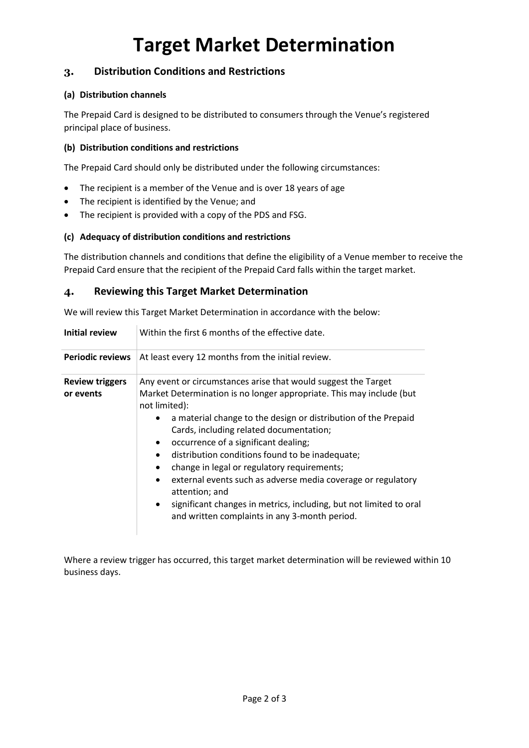# **Target Market Determination**

## **3. Distribution Conditions and Restrictions**

#### **(a) Distribution channels**

The Prepaid Card is designed to be distributed to consumers through the Venue's registered principal place of business.

#### **(b) Distribution conditions and restrictions**

The Prepaid Card should only be distributed under the following circumstances:

- The recipient is a member of the Venue and is over 18 years of age
- The recipient is identified by the Venue; and
- The recipient is provided with a copy of the PDS and FSG.

### **(c) Adequacy of distribution conditions and restrictions**

The distribution channels and conditions that define the eligibility of a Venue member to receive the Prepaid Card ensure that the recipient of the Prepaid Card falls within the target market.

## **4. Reviewing this Target Market Determination**

We will review this Target Market Determination in accordance with the below:

| <b>Initial review</b>               | Within the first 6 months of the effective date.                                                                                                                                                                                                                                                                                                                                                                                                                                                                                                                                                                                                                            |
|-------------------------------------|-----------------------------------------------------------------------------------------------------------------------------------------------------------------------------------------------------------------------------------------------------------------------------------------------------------------------------------------------------------------------------------------------------------------------------------------------------------------------------------------------------------------------------------------------------------------------------------------------------------------------------------------------------------------------------|
| <b>Periodic reviews</b>             | At least every 12 months from the initial review.                                                                                                                                                                                                                                                                                                                                                                                                                                                                                                                                                                                                                           |
| <b>Review triggers</b><br>or events | Any event or circumstances arise that would suggest the Target<br>Market Determination is no longer appropriate. This may include (but<br>not limited):<br>a material change to the design or distribution of the Prepaid<br>$\bullet$<br>Cards, including related documentation;<br>occurrence of a significant dealing;<br>distribution conditions found to be inadequate;<br>$\bullet$<br>change in legal or regulatory requirements;<br>external events such as adverse media coverage or regulatory<br>$\bullet$<br>attention; and<br>significant changes in metrics, including, but not limited to oral<br>$\bullet$<br>and written complaints in any 3-month period. |

Where a review trigger has occurred, this target market determination will be reviewed within 10 business days.